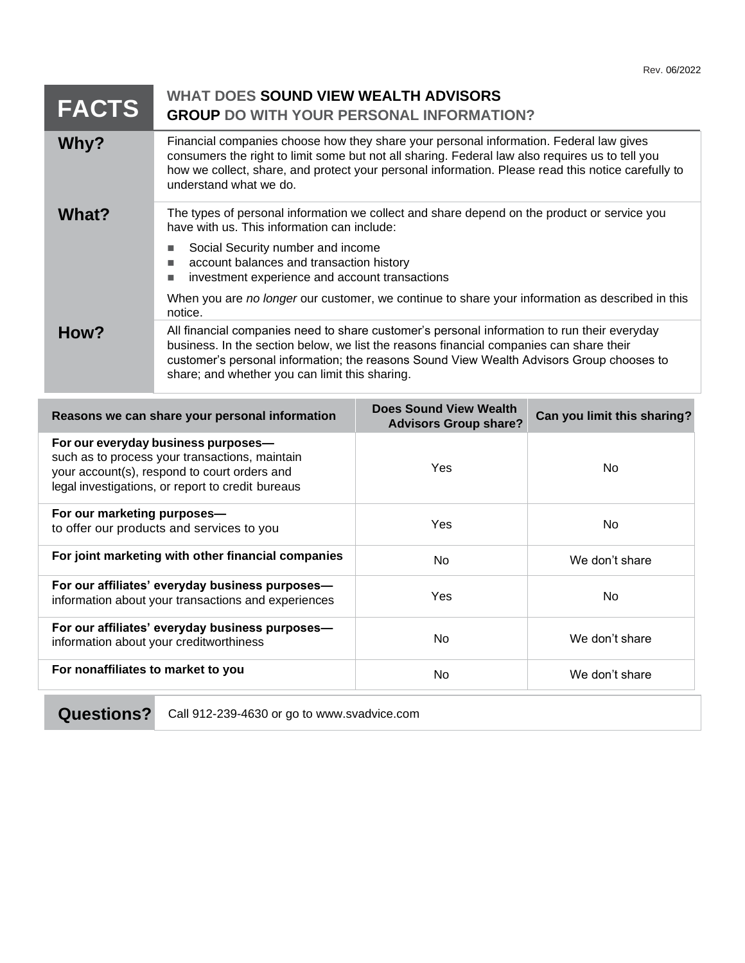| <b>FACTS</b> | WHAT DOES SOUND VIEW WEALTH ADVISORS<br><b>GROUP DO WITH YOUR PERSONAL INFORMATION?</b>                                                                                                                                                                                                                                              |
|--------------|--------------------------------------------------------------------------------------------------------------------------------------------------------------------------------------------------------------------------------------------------------------------------------------------------------------------------------------|
| Why?         | Financial companies choose how they share your personal information. Federal law gives<br>consumers the right to limit some but not all sharing. Federal law also requires us to tell you<br>how we collect, share, and protect your personal information. Please read this notice carefully to<br>understand what we do.            |
| What?        | The types of personal information we collect and share depend on the product or service you<br>have with us. This information can include:                                                                                                                                                                                           |
|              | Social Security number and income<br>account balances and transaction history<br>investment experience and account transactions                                                                                                                                                                                                      |
|              | When you are no longer our customer, we continue to share your information as described in this<br>notice.                                                                                                                                                                                                                           |
| How?         | All financial companies need to share customer's personal information to run their everyday<br>business. In the section below, we list the reasons financial companies can share their<br>customer's personal information; the reasons Sound View Wealth Advisors Group chooses to<br>share; and whether you can limit this sharing. |

| Reasons we can share your personal information                                                                                                                                             | Does Sound View Wealth<br><b>Advisors Group share?</b> | Can you limit this sharing? |
|--------------------------------------------------------------------------------------------------------------------------------------------------------------------------------------------|--------------------------------------------------------|-----------------------------|
| For our everyday business purposes-<br>such as to process your transactions, maintain<br>your account(s), respond to court orders and<br>legal investigations, or report to credit bureaus | Yes                                                    | No.                         |
| For our marketing purposes-<br>to offer our products and services to you                                                                                                                   | Yes                                                    | N <sub>o</sub>              |
| For joint marketing with other financial companies                                                                                                                                         | No.                                                    | We don't share              |
| For our affiliates' everyday business purposes-<br>information about your transactions and experiences                                                                                     | Yes                                                    | No.                         |
| For our affiliates' everyday business purposes-<br>information about your creditworthiness                                                                                                 | N <sub>o</sub>                                         | We don't share              |
| For nonaffiliates to market to you                                                                                                                                                         | No                                                     | We don't share              |

Questions? Call 912-239-4630 or go to www.svadvice.com